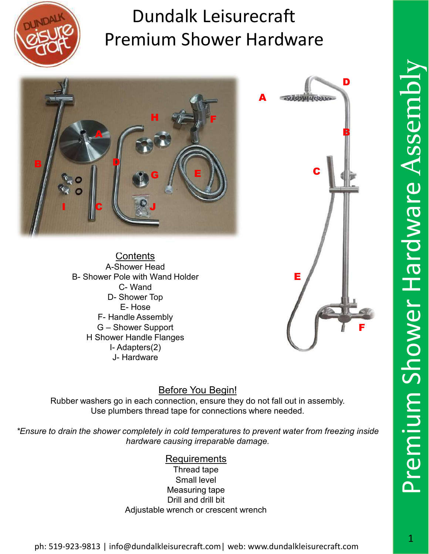



**Contents** A-Shower Head H Shower Handle Flanges



#### Before You Begin!

Rubber washers go in each connection, ensure they do not fall out in assembly. Use plumbers thread tape for connections where needed.

\*Ensure to drain the shower completely in cold temperatures to prevent water from freezing inside hardware causing irreparable damage.

#### Requirements

Thread tape Small level Measuring tape Drill and drill bit Adjustable wrench or crescent wrench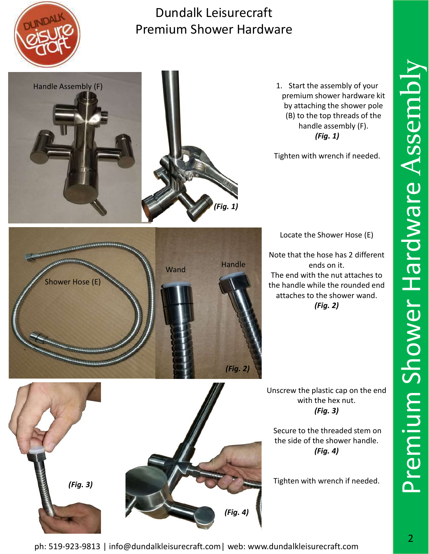

Handle Assembly (F)

#### Dundalk Leisurecraft Premium Shower Hardware

(Fig. 1)



Tighten with wrench if needed.



Locate the Shower Hose (E)

Note that the hose has 2 different ends on it.<br>
Wand Handle Handle Handle Handle Handle Handle Handle Handle Handle Handle Handle Handle Handle Handle Handle The end with the nut attaches to the handle while the rounded end attaches to the shower wand. (Fig. 2)

> Unscrew the plastic cap on the end with the hex nut. (Fig. 3)

Secure to the threaded stem on the side of the shower handle. (Fig. 4)

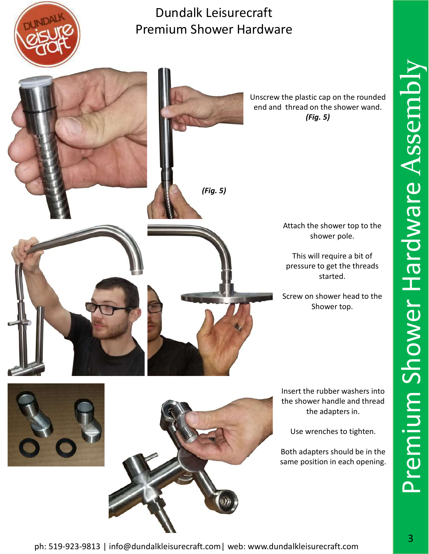

Unscrew the plastic cap on the rounded end and thread on the shower wand. (Fig. 5)



Attach the shower top to the shower pole.

This will require a bit of pressure to get the threads started.

Screw on shower head to the Shower top.

Insert the rubber washers into the shower handle and thread the adapters in.

Use wrenches to tighten.

Both adapters should be in the same position in each opening. Premium Shower Hardware Assembl

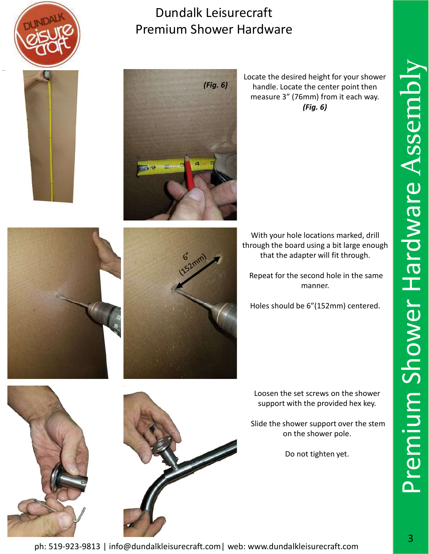





Locate the desired height for your shower handle. Locate the center point then measure 3" (76mm) from it each way. (Fig. 6)





With your hole locations marked, drill through the board using a bit large enough that the adapter will fit through.

Repeat for the second hole in the same manner.

Holes should be 6"(152mm) centered.

Loosen the set screws on the shower support with the provided hex key.

Slide the shower support over the stem on the shower pole.

Do not tighten yet.